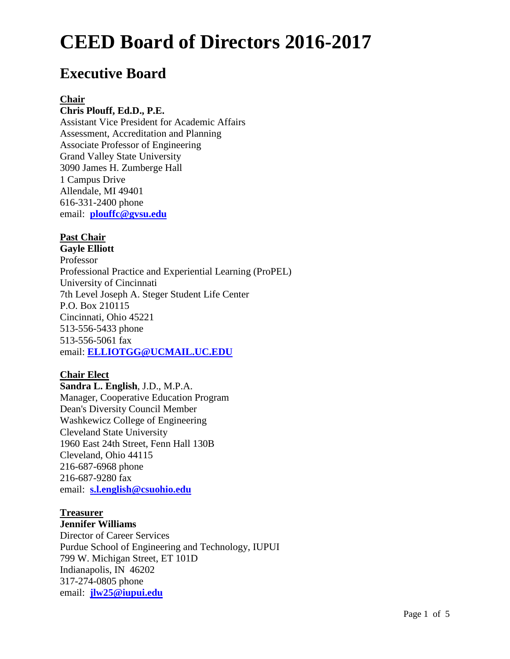# **Executive Board**

#### **Chair**

### **Chris Plouff, Ed.D., P.E.**

Assistant Vice President for Academic Affairs Assessment, Accreditation and Planning Associate Professor of Engineering Grand Valley State University 3090 James H. Zumberge Hall 1 Campus Drive Allendale, MI 49401 616-331-2400 phone email: **[plouffc@gvsu.edu](mailto:plouffc@gvsu.edu)**

#### **Past Chair**

**Gayle Elliott** Professor Professional Practice and Experiential Learning (ProPEL) University of Cincinnati 7th Level Joseph A. Steger Student Life Center P.O. Box 210115 Cincinnati, Ohio 45221 513-556-5433 phone 513-556-5061 fax email: **[ELLIOTGG@UCMAIL.UC.EDU](mailto:ELLIOTGG@UCMAIL.UC.EDU)**

# **Chair Elect**

**Sandra L. English**, J.D., M.P.A. Manager, Cooperative Education Program Dean's Diversity Council Member Washkewicz College of Engineering Cleveland State University 1960 East 24th Street, Fenn Hall 130B Cleveland, Ohio 44115 216-687-6968 phone 216-687-9280 fax email: **[s.l.english@csuohio.edu](mailto:s.l.english@csuohio.edu)**

# **Treasurer**

#### **Jennifer Williams**

Director of Career Services Purdue School of Engineering and Technology, IUPUI 799 W. Michigan Street, ET 101D Indianapolis, IN 46202 317-274-0805 phone email: **[jlw25@iupui.edu](mailto:jlw25@iupui.edu)**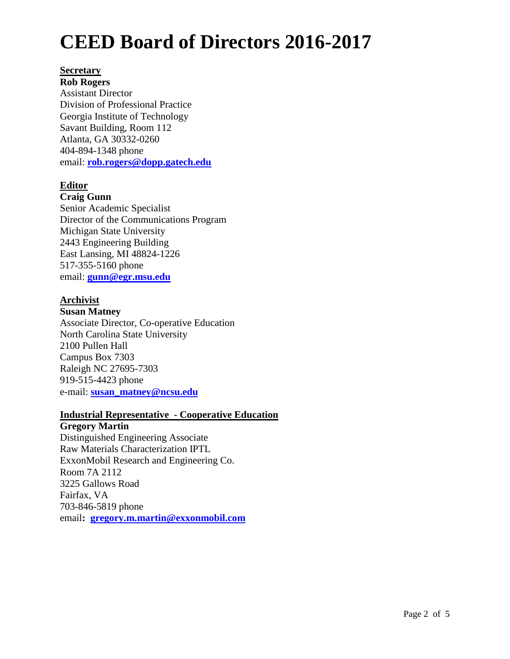#### **Secretary**

**Rob Rogers** Assistant Director Division of Professional Practice Georgia Institute of Technology Savant Building, Room 112 Atlanta, GA 30332-0260 404-894-1348 phone email: **[rob.rogers@dopp.gatech.edu](mailto:rob.rogers@dopp.gatech.edu)**

# **Editor**

#### **Craig Gunn**

Senior Academic Specialist Director of the Communications Program Michigan State University 2443 Engineering Building East Lansing, MI 48824-1226 517-355-5160 phone email: **[gunn@egr.msu.edu](mailto:gunn@egr.msu.edu)**

# **Archivist**

#### **Susan Matney**

Associate Director, Co-operative Education North Carolina State University 2100 Pullen Hall Campus Box 7303 Raleigh NC 27695-7303 919-515-4423 phone e-mail: **[susan\\_matney@ncsu.edu](mailto:susan_matney@ncsu.edu)**

#### **Industrial Representative - Cooperative Education**

# **Gregory Martin**

Distinguished Engineering Associate Raw Materials Characterization IPTL ExxonMobil Research and Engineering Co. Room 7A 2112 3225 Gallows Road Fairfax, VA 703-846-5819 phone email**: [gregory.m.martin@exxonmobil.com](mailto:gregory.m.martin@exxonmobil.com)**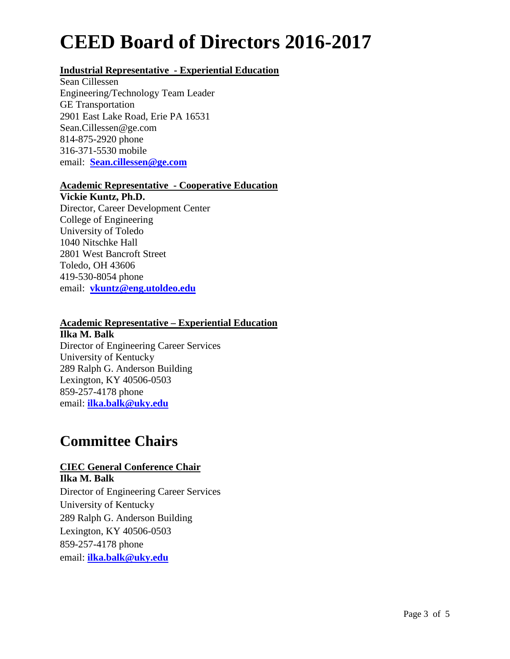# **Industrial Representative - Experiential Education**

Sean Cillessen Engineering/Technology Team Leader GE Transportation 2901 East Lake Road, Erie PA 16531 Sean.Cillessen@ge.com 814-875-2920 phone 316-371-5530 mobile email: **[Sean.cillessen@ge.com](mailto:Sean.cillessen@ge.com)**

# **Academic Representative - Cooperative Education**

**Vickie Kuntz, Ph.D.** Director, Career Development Center College of Engineering University of Toledo 1040 Nitschke Hall 2801 West Bancroft Street Toledo, OH 43606 419-530-8054 phone email: **[vkuntz@eng.utoldeo.edu](mailto:vkuntz@eng.utoldeo.edu)**

#### **Academic Representative – Experiential Education**

**Ilka M. Balk** Director of Engineering Career Services University of Kentucky 289 Ralph G. Anderson Building Lexington, KY 40506-0503 859-257-4178 phone email: **[ilka.balk@uky.edu](mailto:ibalk@engr.uky.edu)**

# **Committee Chairs**

# **CIEC General Conference Chair**

**Ilka M. Balk** Director of Engineering Career Services University of Kentucky 289 Ralph G. Anderson Building Lexington, KY 40506-0503 859-257-4178 phone email: **[ilka.balk@uky.edu](mailto:ilka.balk@uky.edu)**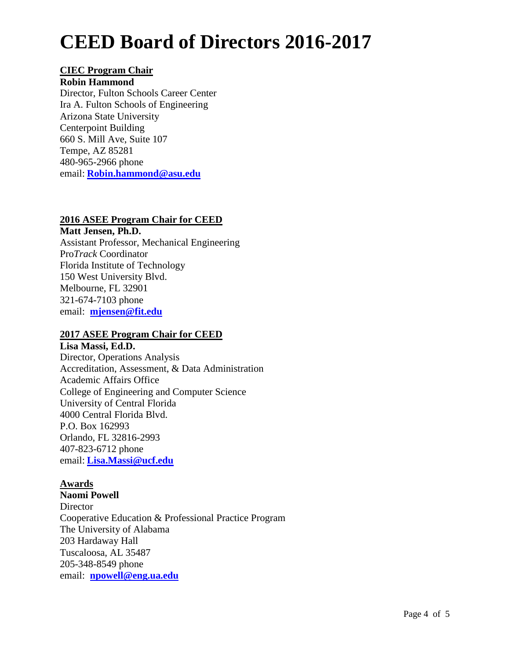# **CIEC Program Chair**

#### **Robin Hammond**

Director, Fulton Schools Career Center Ira A. Fulton Schools of Engineering Arizona State University Centerpoint Building 660 S. Mill Ave, Suite 107 Tempe, AZ 85281 480-965-2966 phone email: **[Robin.hammond@asu.edu](mailto:Robin.hammond@asu.edu)**

# **2016 ASEE Program Chair for CEED**

**Matt Jensen, Ph.D.** Assistant Professor, Mechanical Engineering Pro*Track* Coordinator Florida Institute of Technology 150 West University Blvd. Melbourne, FL 32901 321-674-7103 phone email: **[mjensen@fit.edu](mailto:mjensen@fit.edu)**

# **2017 ASEE Program Chair for CEED**

**Lisa Massi, Ed.D.** Director, Operations Analysis Accreditation, Assessment, & Data Administration Academic Affairs Office College of Engineering and Computer Science University of Central Florida 4000 Central Florida Blvd. P.O. Box 162993 Orlando, FL 32816-2993 407-823-6712 phone email: **[Lisa.Massi@ucf.edu](mailto:Lisa.Massi@ucf.edu)**

# **Awards**

**Naomi Powell Director** Cooperative Education & Professional Practice Program The University of Alabama 203 Hardaway Hall Tuscaloosa, AL 35487 205-348-8549 phone email: **[npowell@eng.ua.edu](mailto:npowell@eng.ua.edu)**